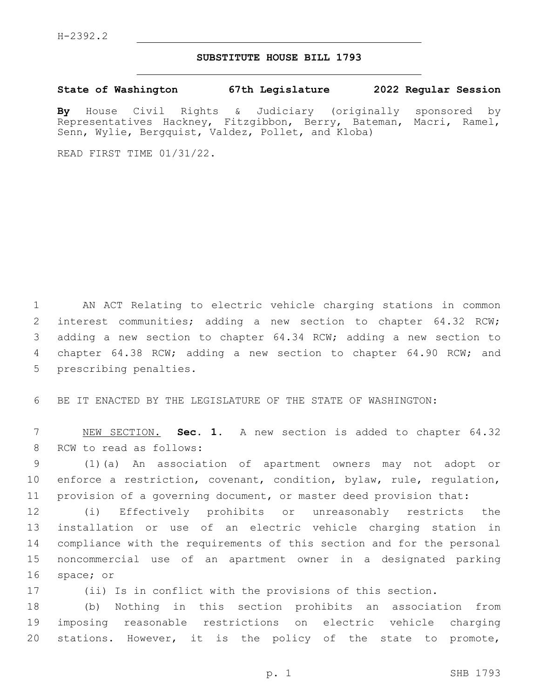## **SUBSTITUTE HOUSE BILL 1793**

**State of Washington 67th Legislature 2022 Regular Session**

**By** House Civil Rights & Judiciary (originally sponsored by Representatives Hackney, Fitzgibbon, Berry, Bateman, Macri, Ramel, Senn, Wylie, Bergquist, Valdez, Pollet, and Kloba)

READ FIRST TIME 01/31/22.

 AN ACT Relating to electric vehicle charging stations in common interest communities; adding a new section to chapter 64.32 RCW; adding a new section to chapter 64.34 RCW; adding a new section to chapter 64.38 RCW; adding a new section to chapter 64.90 RCW; and 5 prescribing penalties.

BE IT ENACTED BY THE LEGISLATURE OF THE STATE OF WASHINGTON:

 NEW SECTION. **Sec. 1.** A new section is added to chapter 64.32 8 RCW to read as follows:

 (1)(a) An association of apartment owners may not adopt or enforce a restriction, covenant, condition, bylaw, rule, regulation, provision of a governing document, or master deed provision that:

 (i) Effectively prohibits or unreasonably restricts the installation or use of an electric vehicle charging station in compliance with the requirements of this section and for the personal noncommercial use of an apartment owner in a designated parking 16 space; or

(ii) Is in conflict with the provisions of this section.

 (b) Nothing in this section prohibits an association from imposing reasonable restrictions on electric vehicle charging stations. However, it is the policy of the state to promote,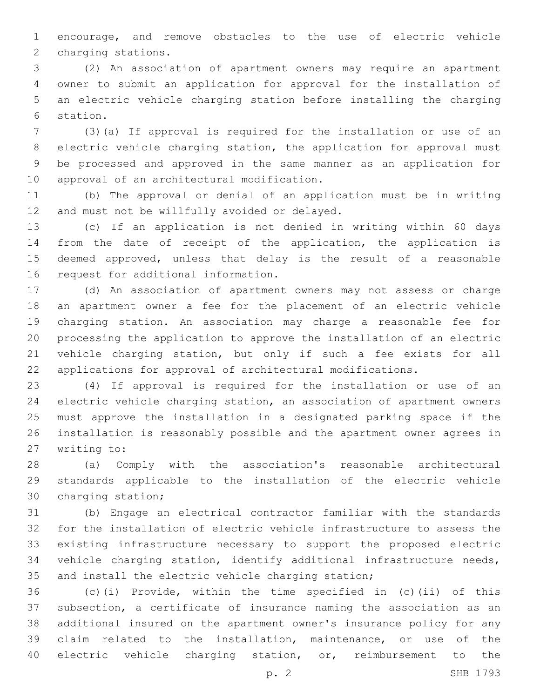encourage, and remove obstacles to the use of electric vehicle 2 charging stations.

 (2) An association of apartment owners may require an apartment owner to submit an application for approval for the installation of an electric vehicle charging station before installing the charging 6 station.

 (3)(a) If approval is required for the installation or use of an electric vehicle charging station, the application for approval must be processed and approved in the same manner as an application for 10 approval of an architectural modification.

 (b) The approval or denial of an application must be in writing 12 and must not be willfully avoided or delayed.

 (c) If an application is not denied in writing within 60 days from the date of receipt of the application, the application is deemed approved, unless that delay is the result of a reasonable 16 request for additional information.

 (d) An association of apartment owners may not assess or charge an apartment owner a fee for the placement of an electric vehicle charging station. An association may charge a reasonable fee for processing the application to approve the installation of an electric vehicle charging station, but only if such a fee exists for all applications for approval of architectural modifications.

 (4) If approval is required for the installation or use of an electric vehicle charging station, an association of apartment owners must approve the installation in a designated parking space if the installation is reasonably possible and the apartment owner agrees in 27 writing to:

 (a) Comply with the association's reasonable architectural standards applicable to the installation of the electric vehicle 30 charging station;

 (b) Engage an electrical contractor familiar with the standards for the installation of electric vehicle infrastructure to assess the existing infrastructure necessary to support the proposed electric vehicle charging station, identify additional infrastructure needs, and install the electric vehicle charging station;

 (c)(i) Provide, within the time specified in (c)(ii) of this subsection, a certificate of insurance naming the association as an additional insured on the apartment owner's insurance policy for any claim related to the installation, maintenance, or use of the electric vehicle charging station, or, reimbursement to the

p. 2 SHB 1793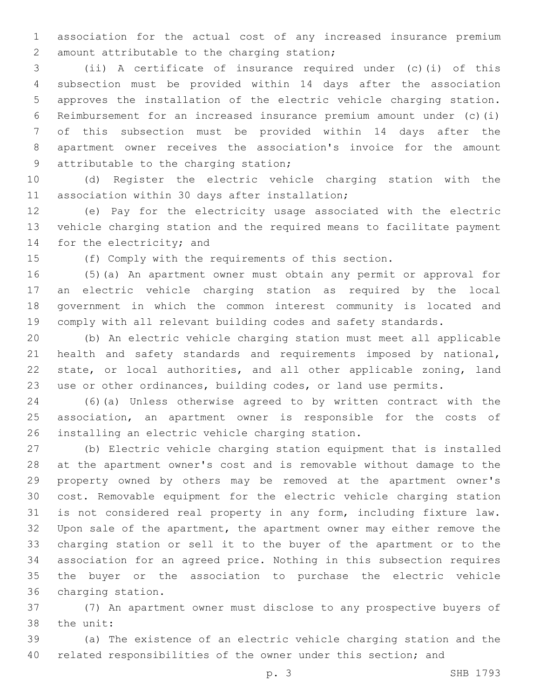association for the actual cost of any increased insurance premium 2 amount attributable to the charging station;

 (ii) A certificate of insurance required under (c)(i) of this subsection must be provided within 14 days after the association approves the installation of the electric vehicle charging station. Reimbursement for an increased insurance premium amount under (c)(i) of this subsection must be provided within 14 days after the apartment owner receives the association's invoice for the amount 9 attributable to the charging station;

 (d) Register the electric vehicle charging station with the 11 association within 30 days after installation;

 (e) Pay for the electricity usage associated with the electric vehicle charging station and the required means to facilitate payment 14 for the electricity; and

(f) Comply with the requirements of this section.

 (5)(a) An apartment owner must obtain any permit or approval for an electric vehicle charging station as required by the local government in which the common interest community is located and comply with all relevant building codes and safety standards.

 (b) An electric vehicle charging station must meet all applicable 21 health and safety standards and requirements imposed by national, state, or local authorities, and all other applicable zoning, land use or other ordinances, building codes, or land use permits.

 (6)(a) Unless otherwise agreed to by written contract with the association, an apartment owner is responsible for the costs of 26 installing an electric vehicle charging station.

 (b) Electric vehicle charging station equipment that is installed at the apartment owner's cost and is removable without damage to the property owned by others may be removed at the apartment owner's cost. Removable equipment for the electric vehicle charging station is not considered real property in any form, including fixture law. Upon sale of the apartment, the apartment owner may either remove the charging station or sell it to the buyer of the apartment or to the association for an agreed price. Nothing in this subsection requires the buyer or the association to purchase the electric vehicle 36 charging station.

 (7) An apartment owner must disclose to any prospective buyers of 38 the unit:

 (a) The existence of an electric vehicle charging station and the related responsibilities of the owner under this section; and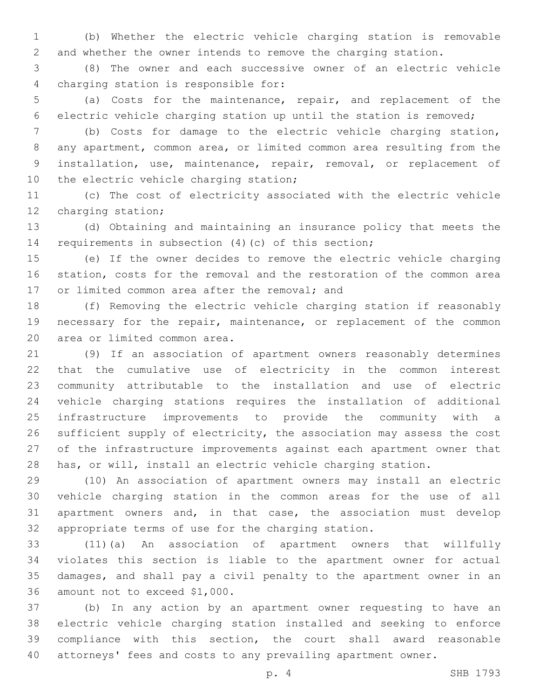(b) Whether the electric vehicle charging station is removable and whether the owner intends to remove the charging station.

 (8) The owner and each successive owner of an electric vehicle 4 charging station is responsible for:

 (a) Costs for the maintenance, repair, and replacement of the electric vehicle charging station up until the station is removed;

 (b) Costs for damage to the electric vehicle charging station, any apartment, common area, or limited common area resulting from the installation, use, maintenance, repair, removal, or replacement of 10 the electric vehicle charging station;

 (c) The cost of electricity associated with the electric vehicle 12 charging station;

 (d) Obtaining and maintaining an insurance policy that meets the requirements in subsection (4)(c) of this section;

 (e) If the owner decides to remove the electric vehicle charging station, costs for the removal and the restoration of the common area 17 or limited common area after the removal; and

 (f) Removing the electric vehicle charging station if reasonably necessary for the repair, maintenance, or replacement of the common 20 area or limited common area.

 (9) If an association of apartment owners reasonably determines that the cumulative use of electricity in the common interest community attributable to the installation and use of electric vehicle charging stations requires the installation of additional infrastructure improvements to provide the community with a sufficient supply of electricity, the association may assess the cost of the infrastructure improvements against each apartment owner that has, or will, install an electric vehicle charging station.

 (10) An association of apartment owners may install an electric vehicle charging station in the common areas for the use of all apartment owners and, in that case, the association must develop appropriate terms of use for the charging station.

 (11)(a) An association of apartment owners that willfully violates this section is liable to the apartment owner for actual damages, and shall pay a civil penalty to the apartment owner in an 36 amount not to exceed \$1,000.

 (b) In any action by an apartment owner requesting to have an electric vehicle charging station installed and seeking to enforce compliance with this section, the court shall award reasonable attorneys' fees and costs to any prevailing apartment owner.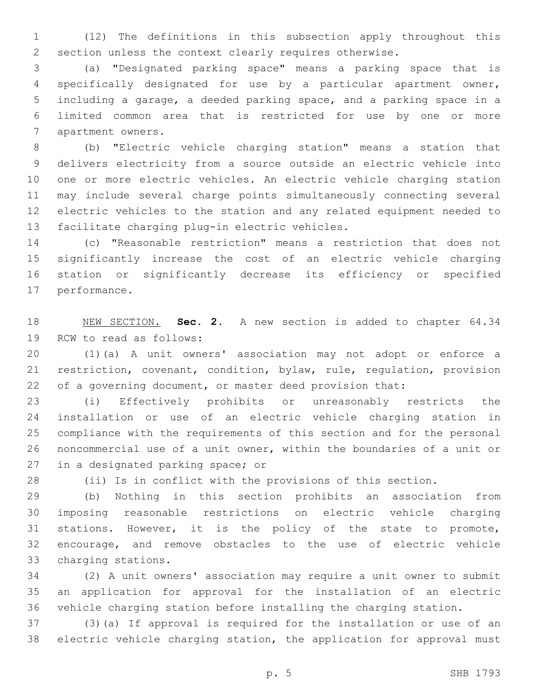(12) The definitions in this subsection apply throughout this section unless the context clearly requires otherwise.

 (a) "Designated parking space" means a parking space that is specifically designated for use by a particular apartment owner, including a garage, a deeded parking space, and a parking space in a limited common area that is restricted for use by one or more 7 apartment owners.

 (b) "Electric vehicle charging station" means a station that delivers electricity from a source outside an electric vehicle into one or more electric vehicles. An electric vehicle charging station may include several charge points simultaneously connecting several electric vehicles to the station and any related equipment needed to 13 facilitate charging plug-in electric vehicles.

 (c) "Reasonable restriction" means a restriction that does not significantly increase the cost of an electric vehicle charging station or significantly decrease its efficiency or specified 17 performance.

 NEW SECTION. **Sec. 2.** A new section is added to chapter 64.34 19 RCW to read as follows:

 (1)(a) A unit owners' association may not adopt or enforce a restriction, covenant, condition, bylaw, rule, regulation, provision of a governing document, or master deed provision that:

 (i) Effectively prohibits or unreasonably restricts the installation or use of an electric vehicle charging station in compliance with the requirements of this section and for the personal noncommercial use of a unit owner, within the boundaries of a unit or 27 in a designated parking space; or

(ii) Is in conflict with the provisions of this section.

 (b) Nothing in this section prohibits an association from imposing reasonable restrictions on electric vehicle charging stations. However, it is the policy of the state to promote, encourage, and remove obstacles to the use of electric vehicle 33 charging stations.

 (2) A unit owners' association may require a unit owner to submit an application for approval for the installation of an electric vehicle charging station before installing the charging station.

 (3)(a) If approval is required for the installation or use of an electric vehicle charging station, the application for approval must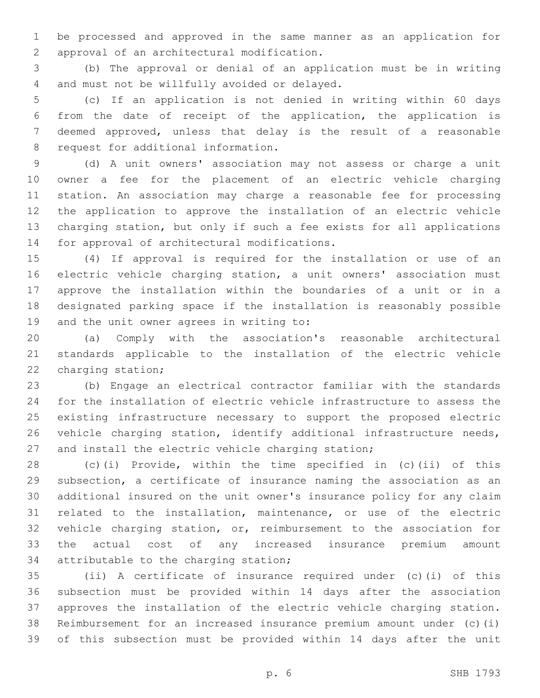be processed and approved in the same manner as an application for 2 approval of an architectural modification.

 (b) The approval or denial of an application must be in writing 4 and must not be willfully avoided or delayed.

 (c) If an application is not denied in writing within 60 days from the date of receipt of the application, the application is deemed approved, unless that delay is the result of a reasonable 8 request for additional information.

 (d) A unit owners' association may not assess or charge a unit owner a fee for the placement of an electric vehicle charging station. An association may charge a reasonable fee for processing the application to approve the installation of an electric vehicle charging station, but only if such a fee exists for all applications 14 for approval of architectural modifications.

 (4) If approval is required for the installation or use of an electric vehicle charging station, a unit owners' association must approve the installation within the boundaries of a unit or in a designated parking space if the installation is reasonably possible 19 and the unit owner agrees in writing to:

 (a) Comply with the association's reasonable architectural standards applicable to the installation of the electric vehicle 22 charging station;

 (b) Engage an electrical contractor familiar with the standards for the installation of electric vehicle infrastructure to assess the existing infrastructure necessary to support the proposed electric 26 vehicle charging station, identify additional infrastructure needs, and install the electric vehicle charging station;

 (c)(i) Provide, within the time specified in (c)(ii) of this subsection, a certificate of insurance naming the association as an additional insured on the unit owner's insurance policy for any claim related to the installation, maintenance, or use of the electric vehicle charging station, or, reimbursement to the association for the actual cost of any increased insurance premium amount 34 attributable to the charging station;

 (ii) A certificate of insurance required under (c)(i) of this subsection must be provided within 14 days after the association approves the installation of the electric vehicle charging station. Reimbursement for an increased insurance premium amount under (c)(i) of this subsection must be provided within 14 days after the unit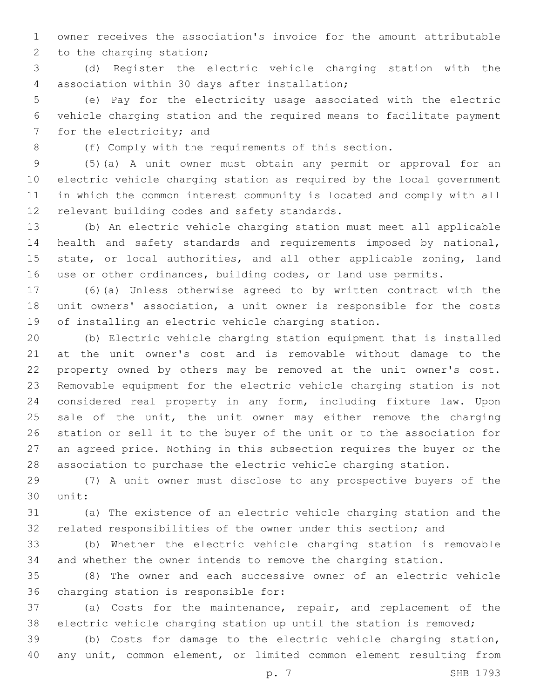owner receives the association's invoice for the amount attributable 2 to the charging station;

 (d) Register the electric vehicle charging station with the 4 association within 30 days after installation;

 (e) Pay for the electricity usage associated with the electric vehicle charging station and the required means to facilitate payment 7 for the electricity; and

(f) Comply with the requirements of this section.

 (5)(a) A unit owner must obtain any permit or approval for an electric vehicle charging station as required by the local government in which the common interest community is located and comply with all 12 relevant building codes and safety standards.

 (b) An electric vehicle charging station must meet all applicable health and safety standards and requirements imposed by national, 15 state, or local authorities, and all other applicable zoning, land use or other ordinances, building codes, or land use permits.

 (6)(a) Unless otherwise agreed to by written contract with the unit owners' association, a unit owner is responsible for the costs of installing an electric vehicle charging station.

 (b) Electric vehicle charging station equipment that is installed at the unit owner's cost and is removable without damage to the property owned by others may be removed at the unit owner's cost. Removable equipment for the electric vehicle charging station is not considered real property in any form, including fixture law. Upon 25 sale of the unit, the unit owner may either remove the charging station or sell it to the buyer of the unit or to the association for an agreed price. Nothing in this subsection requires the buyer or the association to purchase the electric vehicle charging station.

 (7) A unit owner must disclose to any prospective buyers of the 30 unit:

 (a) The existence of an electric vehicle charging station and the related responsibilities of the owner under this section; and

 (b) Whether the electric vehicle charging station is removable and whether the owner intends to remove the charging station.

 (8) The owner and each successive owner of an electric vehicle 36 charging station is responsible for:

 (a) Costs for the maintenance, repair, and replacement of the electric vehicle charging station up until the station is removed;

 (b) Costs for damage to the electric vehicle charging station, any unit, common element, or limited common element resulting from

p. 7 SHB 1793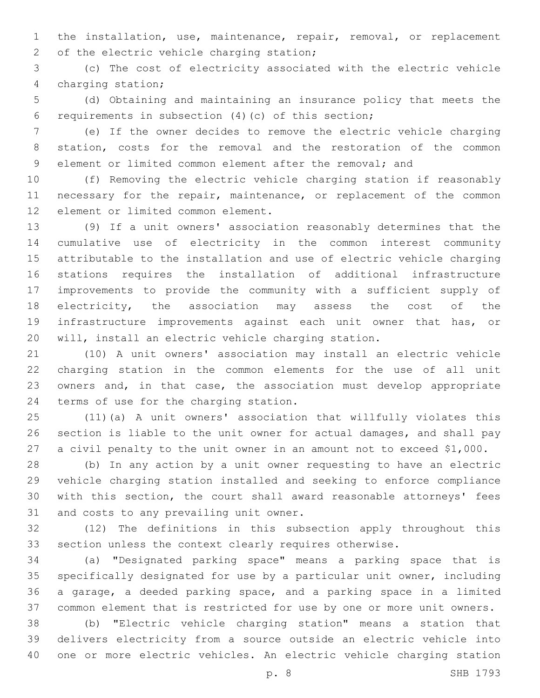the installation, use, maintenance, repair, removal, or replacement 2 of the electric vehicle charging station;

 (c) The cost of electricity associated with the electric vehicle 4 charging station;

 (d) Obtaining and maintaining an insurance policy that meets the 6 requirements in subsection  $(4)(c)$  of this section;

 (e) If the owner decides to remove the electric vehicle charging station, costs for the removal and the restoration of the common element or limited common element after the removal; and

 (f) Removing the electric vehicle charging station if reasonably 11 necessary for the repair, maintenance, or replacement of the common 12 element or limited common element.

 (9) If a unit owners' association reasonably determines that the cumulative use of electricity in the common interest community attributable to the installation and use of electric vehicle charging stations requires the installation of additional infrastructure improvements to provide the community with a sufficient supply of electricity, the association may assess the cost of the infrastructure improvements against each unit owner that has, or will, install an electric vehicle charging station.

 (10) A unit owners' association may install an electric vehicle charging station in the common elements for the use of all unit owners and, in that case, the association must develop appropriate 24 terms of use for the charging station.

 (11)(a) A unit owners' association that willfully violates this section is liable to the unit owner for actual damages, and shall pay a civil penalty to the unit owner in an amount not to exceed \$1,000.

 (b) In any action by a unit owner requesting to have an electric vehicle charging station installed and seeking to enforce compliance with this section, the court shall award reasonable attorneys' fees 31 and costs to any prevailing unit owner.

 (12) The definitions in this subsection apply throughout this section unless the context clearly requires otherwise.

 (a) "Designated parking space" means a parking space that is specifically designated for use by a particular unit owner, including a garage, a deeded parking space, and a parking space in a limited common element that is restricted for use by one or more unit owners.

 (b) "Electric vehicle charging station" means a station that delivers electricity from a source outside an electric vehicle into one or more electric vehicles. An electric vehicle charging station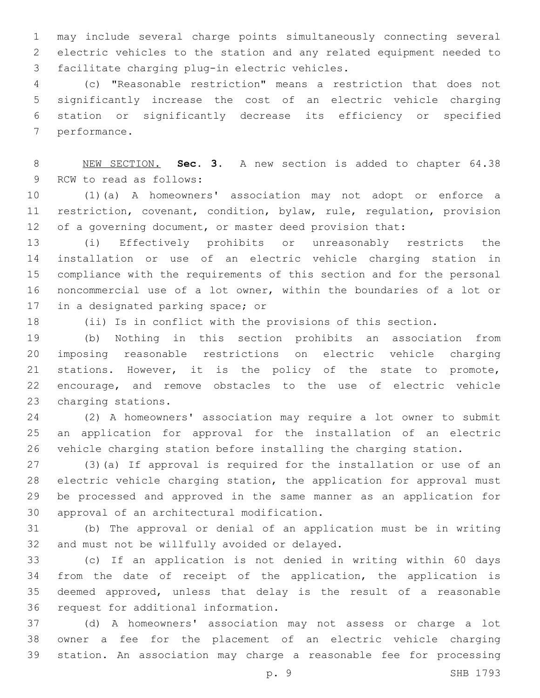may include several charge points simultaneously connecting several electric vehicles to the station and any related equipment needed to 3 facilitate charging plug-in electric vehicles.

 (c) "Reasonable restriction" means a restriction that does not significantly increase the cost of an electric vehicle charging station or significantly decrease its efficiency or specified 7 performance.

 NEW SECTION. **Sec. 3.** A new section is added to chapter 64.38 9 RCW to read as follows:

 (1)(a) A homeowners' association may not adopt or enforce a restriction, covenant, condition, bylaw, rule, regulation, provision 12 of a governing document, or master deed provision that:

 (i) Effectively prohibits or unreasonably restricts the installation or use of an electric vehicle charging station in compliance with the requirements of this section and for the personal noncommercial use of a lot owner, within the boundaries of a lot or 17 in a designated parking space; or

(ii) Is in conflict with the provisions of this section.

 (b) Nothing in this section prohibits an association from imposing reasonable restrictions on electric vehicle charging stations. However, it is the policy of the state to promote, encourage, and remove obstacles to the use of electric vehicle 23 charging stations.

 (2) A homeowners' association may require a lot owner to submit an application for approval for the installation of an electric vehicle charging station before installing the charging station.

 (3)(a) If approval is required for the installation or use of an electric vehicle charging station, the application for approval must be processed and approved in the same manner as an application for 30 approval of an architectural modification.

 (b) The approval or denial of an application must be in writing 32 and must not be willfully avoided or delayed.

 (c) If an application is not denied in writing within 60 days from the date of receipt of the application, the application is deemed approved, unless that delay is the result of a reasonable 36 request for additional information.

 (d) A homeowners' association may not assess or charge a lot owner a fee for the placement of an electric vehicle charging station. An association may charge a reasonable fee for processing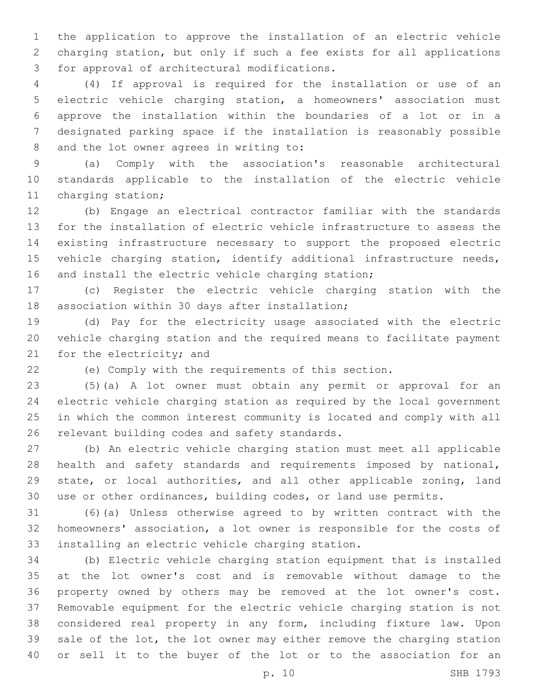the application to approve the installation of an electric vehicle charging station, but only if such a fee exists for all applications 3 for approval of architectural modifications.

 (4) If approval is required for the installation or use of an electric vehicle charging station, a homeowners' association must approve the installation within the boundaries of a lot or in a designated parking space if the installation is reasonably possible 8 and the lot owner agrees in writing to:

 (a) Comply with the association's reasonable architectural standards applicable to the installation of the electric vehicle 11 charging station;

 (b) Engage an electrical contractor familiar with the standards for the installation of electric vehicle infrastructure to assess the existing infrastructure necessary to support the proposed electric vehicle charging station, identify additional infrastructure needs, 16 and install the electric vehicle charging station;

 (c) Register the electric vehicle charging station with the 18 association within 30 days after installation;

 (d) Pay for the electricity usage associated with the electric vehicle charging station and the required means to facilitate payment 21 for the electricity; and

(e) Comply with the requirements of this section.

 (5)(a) A lot owner must obtain any permit or approval for an electric vehicle charging station as required by the local government in which the common interest community is located and comply with all 26 relevant building codes and safety standards.

 (b) An electric vehicle charging station must meet all applicable health and safety standards and requirements imposed by national, state, or local authorities, and all other applicable zoning, land use or other ordinances, building codes, or land use permits.

 (6)(a) Unless otherwise agreed to by written contract with the homeowners' association, a lot owner is responsible for the costs of 33 installing an electric vehicle charging station.

 (b) Electric vehicle charging station equipment that is installed at the lot owner's cost and is removable without damage to the property owned by others may be removed at the lot owner's cost. Removable equipment for the electric vehicle charging station is not considered real property in any form, including fixture law. Upon 39 sale of the lot, the lot owner may either remove the charging station or sell it to the buyer of the lot or to the association for an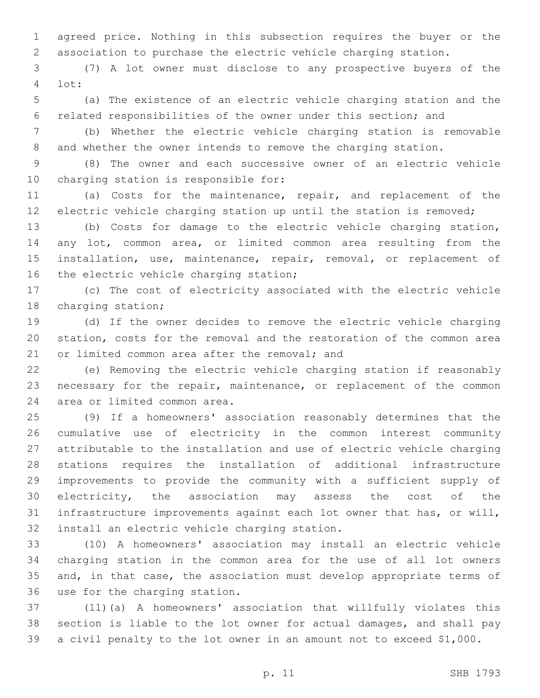agreed price. Nothing in this subsection requires the buyer or the association to purchase the electric vehicle charging station.

 (7) A lot owner must disclose to any prospective buyers of the lot:4

 (a) The existence of an electric vehicle charging station and the related responsibilities of the owner under this section; and

 (b) Whether the electric vehicle charging station is removable and whether the owner intends to remove the charging station.

 (8) The owner and each successive owner of an electric vehicle 10 charging station is responsible for:

 (a) Costs for the maintenance, repair, and replacement of the electric vehicle charging station up until the station is removed;

 (b) Costs for damage to the electric vehicle charging station, any lot, common area, or limited common area resulting from the 15 installation, use, maintenance, repair, removal, or replacement of 16 the electric vehicle charging station;

 (c) The cost of electricity associated with the electric vehicle 18 charging station;

 (d) If the owner decides to remove the electric vehicle charging station, costs for the removal and the restoration of the common area 21 or limited common area after the removal; and

 (e) Removing the electric vehicle charging station if reasonably necessary for the repair, maintenance, or replacement of the common 24 area or limited common area.

 (9) If a homeowners' association reasonably determines that the cumulative use of electricity in the common interest community attributable to the installation and use of electric vehicle charging stations requires the installation of additional infrastructure improvements to provide the community with a sufficient supply of electricity, the association may assess the cost of the infrastructure improvements against each lot owner that has, or will, 32 install an electric vehicle charging station.

 (10) A homeowners' association may install an electric vehicle charging station in the common area for the use of all lot owners and, in that case, the association must develop appropriate terms of 36 use for the charging station.

 (11)(a) A homeowners' association that willfully violates this section is liable to the lot owner for actual damages, and shall pay a civil penalty to the lot owner in an amount not to exceed \$1,000.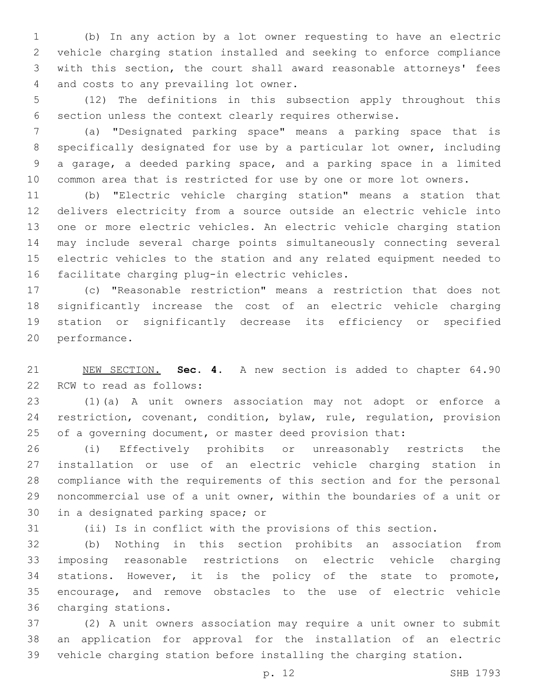(b) In any action by a lot owner requesting to have an electric vehicle charging station installed and seeking to enforce compliance with this section, the court shall award reasonable attorneys' fees 4 and costs to any prevailing lot owner.

 (12) The definitions in this subsection apply throughout this section unless the context clearly requires otherwise.

 (a) "Designated parking space" means a parking space that is specifically designated for use by a particular lot owner, including a garage, a deeded parking space, and a parking space in a limited common area that is restricted for use by one or more lot owners.

 (b) "Electric vehicle charging station" means a station that delivers electricity from a source outside an electric vehicle into one or more electric vehicles. An electric vehicle charging station may include several charge points simultaneously connecting several electric vehicles to the station and any related equipment needed to 16 facilitate charging plug-in electric vehicles.

 (c) "Reasonable restriction" means a restriction that does not significantly increase the cost of an electric vehicle charging station or significantly decrease its efficiency or specified 20 performance.

 NEW SECTION. **Sec. 4.** A new section is added to chapter 64.90 22 RCW to read as follows:

 (1)(a) A unit owners association may not adopt or enforce a restriction, covenant, condition, bylaw, rule, regulation, provision 25 of a governing document, or master deed provision that:

 (i) Effectively prohibits or unreasonably restricts the installation or use of an electric vehicle charging station in compliance with the requirements of this section and for the personal noncommercial use of a unit owner, within the boundaries of a unit or 30 in a designated parking space; or

(ii) Is in conflict with the provisions of this section.

 (b) Nothing in this section prohibits an association from imposing reasonable restrictions on electric vehicle charging stations. However, it is the policy of the state to promote, encourage, and remove obstacles to the use of electric vehicle 36 charging stations.

 (2) A unit owners association may require a unit owner to submit an application for approval for the installation of an electric vehicle charging station before installing the charging station.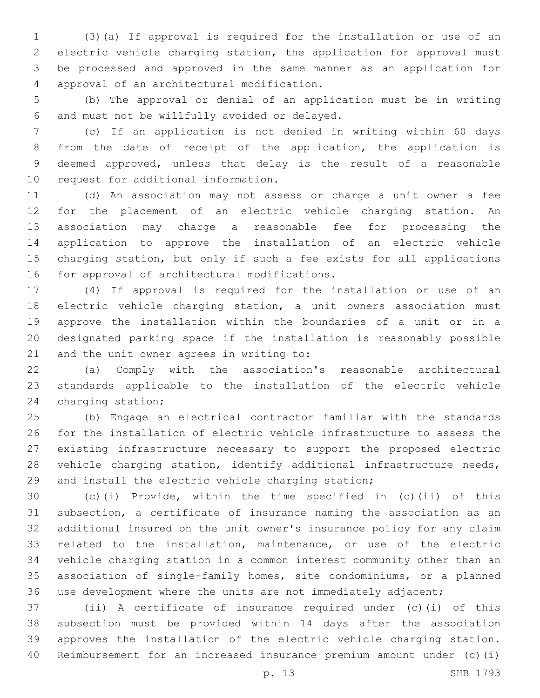(3)(a) If approval is required for the installation or use of an electric vehicle charging station, the application for approval must be processed and approved in the same manner as an application for 4 approval of an architectural modification.

 (b) The approval or denial of an application must be in writing and must not be willfully avoided or delayed.6

 (c) If an application is not denied in writing within 60 days from the date of receipt of the application, the application is deemed approved, unless that delay is the result of a reasonable 10 request for additional information.

 (d) An association may not assess or charge a unit owner a fee for the placement of an electric vehicle charging station. An association may charge a reasonable fee for processing the application to approve the installation of an electric vehicle charging station, but only if such a fee exists for all applications 16 for approval of architectural modifications.

 (4) If approval is required for the installation or use of an electric vehicle charging station, a unit owners association must approve the installation within the boundaries of a unit or in a designated parking space if the installation is reasonably possible 21 and the unit owner agrees in writing to:

 (a) Comply with the association's reasonable architectural standards applicable to the installation of the electric vehicle 24 charging station;

 (b) Engage an electrical contractor familiar with the standards for the installation of electric vehicle infrastructure to assess the existing infrastructure necessary to support the proposed electric vehicle charging station, identify additional infrastructure needs, and install the electric vehicle charging station;

 (c)(i) Provide, within the time specified in (c)(ii) of this subsection, a certificate of insurance naming the association as an additional insured on the unit owner's insurance policy for any claim related to the installation, maintenance, or use of the electric vehicle charging station in a common interest community other than an association of single-family homes, site condominiums, or a planned use development where the units are not immediately adjacent;

 (ii) A certificate of insurance required under (c)(i) of this subsection must be provided within 14 days after the association approves the installation of the electric vehicle charging station. Reimbursement for an increased insurance premium amount under (c)(i)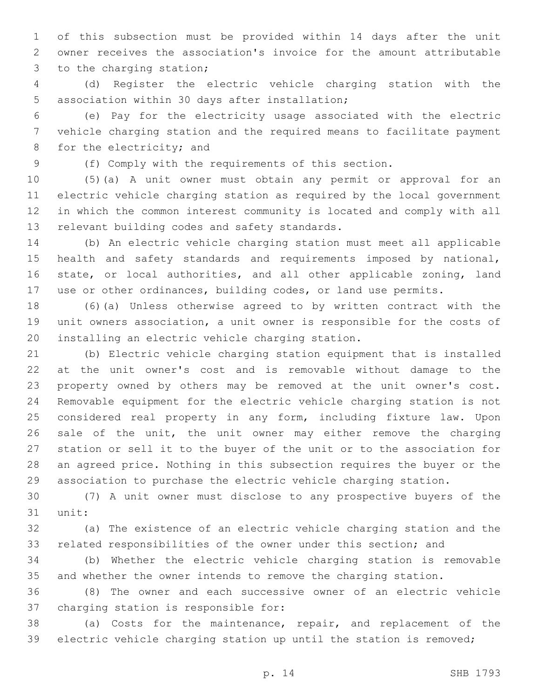of this subsection must be provided within 14 days after the unit owner receives the association's invoice for the amount attributable 3 to the charging station;

 (d) Register the electric vehicle charging station with the 5 association within 30 days after installation;

 (e) Pay for the electricity usage associated with the electric vehicle charging station and the required means to facilitate payment 8 for the electricity; and

(f) Comply with the requirements of this section.

 (5)(a) A unit owner must obtain any permit or approval for an electric vehicle charging station as required by the local government in which the common interest community is located and comply with all 13 relevant building codes and safety standards.

 (b) An electric vehicle charging station must meet all applicable 15 health and safety standards and requirements imposed by national, state, or local authorities, and all other applicable zoning, land use or other ordinances, building codes, or land use permits.

 (6)(a) Unless otherwise agreed to by written contract with the unit owners association, a unit owner is responsible for the costs of 20 installing an electric vehicle charging station.

 (b) Electric vehicle charging station equipment that is installed at the unit owner's cost and is removable without damage to the property owned by others may be removed at the unit owner's cost. Removable equipment for the electric vehicle charging station is not considered real property in any form, including fixture law. Upon 26 sale of the unit, the unit owner may either remove the charging station or sell it to the buyer of the unit or to the association for an agreed price. Nothing in this subsection requires the buyer or the association to purchase the electric vehicle charging station.

 (7) A unit owner must disclose to any prospective buyers of the 31 unit:

 (a) The existence of an electric vehicle charging station and the related responsibilities of the owner under this section; and

 (b) Whether the electric vehicle charging station is removable and whether the owner intends to remove the charging station.

 (8) The owner and each successive owner of an electric vehicle 37 charging station is responsible for:

 (a) Costs for the maintenance, repair, and replacement of the electric vehicle charging station up until the station is removed;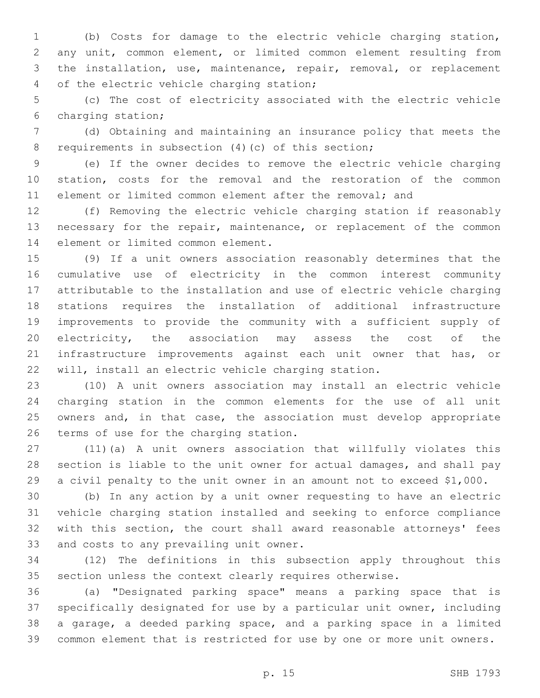(b) Costs for damage to the electric vehicle charging station, any unit, common element, or limited common element resulting from the installation, use, maintenance, repair, removal, or replacement 4 of the electric vehicle charging station;

 (c) The cost of electricity associated with the electric vehicle 6 charging station;

 (d) Obtaining and maintaining an insurance policy that meets the 8 requirements in subsection (4)(c) of this section;

 (e) If the owner decides to remove the electric vehicle charging station, costs for the removal and the restoration of the common element or limited common element after the removal; and

 (f) Removing the electric vehicle charging station if reasonably 13 necessary for the repair, maintenance, or replacement of the common 14 element or limited common element.

 (9) If a unit owners association reasonably determines that the cumulative use of electricity in the common interest community attributable to the installation and use of electric vehicle charging stations requires the installation of additional infrastructure improvements to provide the community with a sufficient supply of electricity, the association may assess the cost of the 21 infrastructure improvements against each unit owner that has, or will, install an electric vehicle charging station.

 (10) A unit owners association may install an electric vehicle charging station in the common elements for the use of all unit 25 owners and, in that case, the association must develop appropriate 26 terms of use for the charging station.

 (11)(a) A unit owners association that willfully violates this section is liable to the unit owner for actual damages, and shall pay a civil penalty to the unit owner in an amount not to exceed \$1,000.

 (b) In any action by a unit owner requesting to have an electric vehicle charging station installed and seeking to enforce compliance with this section, the court shall award reasonable attorneys' fees 33 and costs to any prevailing unit owner.

 (12) The definitions in this subsection apply throughout this section unless the context clearly requires otherwise.

 (a) "Designated parking space" means a parking space that is specifically designated for use by a particular unit owner, including a garage, a deeded parking space, and a parking space in a limited common element that is restricted for use by one or more unit owners.